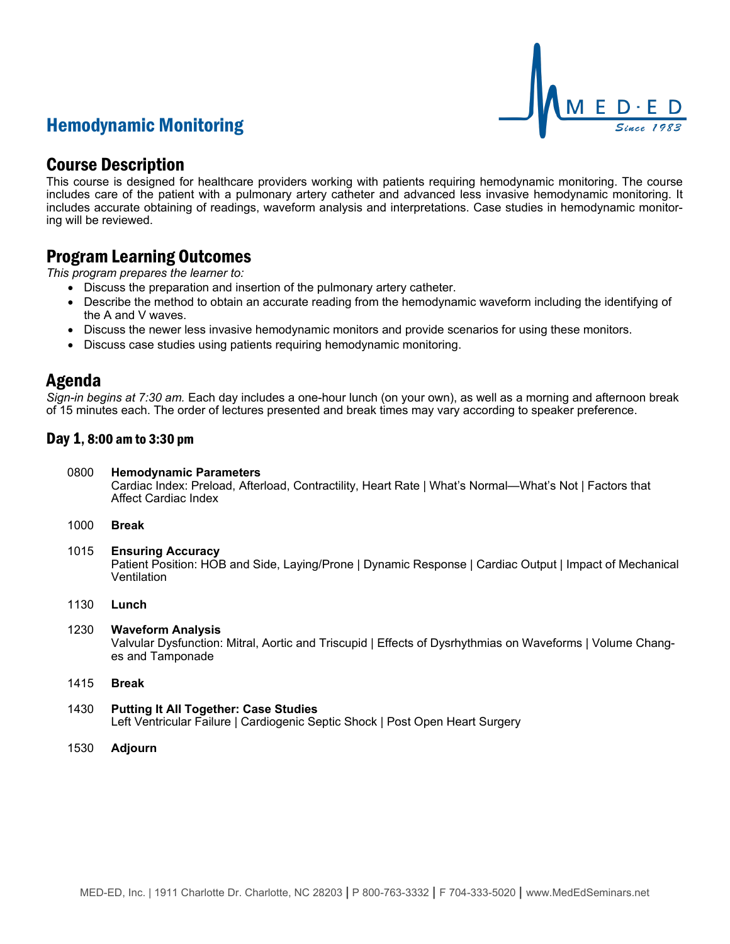# Hemodynamic Monitoring



### Course Description

This course is designed for healthcare providers working with patients requiring hemodynamic monitoring. The course includes care of the patient with a pulmonary artery catheter and advanced less invasive hemodynamic monitoring. It includes accurate obtaining of readings, waveform analysis and interpretations. Case studies in hemodynamic monitoring will be reviewed.

## Program Learning Outcomes

*This program prepares the learner to:*

- Discuss the preparation and insertion of the pulmonary artery catheter.
- Describe the method to obtain an accurate reading from the hemodynamic waveform including the identifying of the A and V waves.
- Discuss the newer less invasive hemodynamic monitors and provide scenarios for using these monitors.
- Discuss case studies using patients requiring hemodynamic monitoring.

### Agenda

*Sign-in begins at 7:30 am.* Each day includes a one-hour lunch (on your own), as well as a morning and afternoon break of 15 minutes each. The order of lectures presented and break times may vary according to speaker preference.

### Day 1, 8:00 am to 3:30 pm

- 0800 **Hemodynamic Parameters** Cardiac Index: Preload, Afterload, Contractility, Heart Rate | What's Normal—What's Not | Factors that Affect Cardiac Index
- 1000 **Break**
- 1015 **Ensuring Accuracy** Patient Position: HOB and Side, Laying/Prone | Dynamic Response | Cardiac Output | Impact of Mechanical Ventilation
- 1130 **Lunch**

#### 1230 **Waveform Analysis** Valvular Dysfunction: Mitral, Aortic and Triscupid | Effects of Dysrhythmias on Waveforms | Volume Changes and Tamponade

- 1415 **Break**
- 1430 **Putting It All Together: Case Studies** Left Ventricular Failure | Cardiogenic Septic Shock | Post Open Heart Surgery
- 1530 **Adjourn**